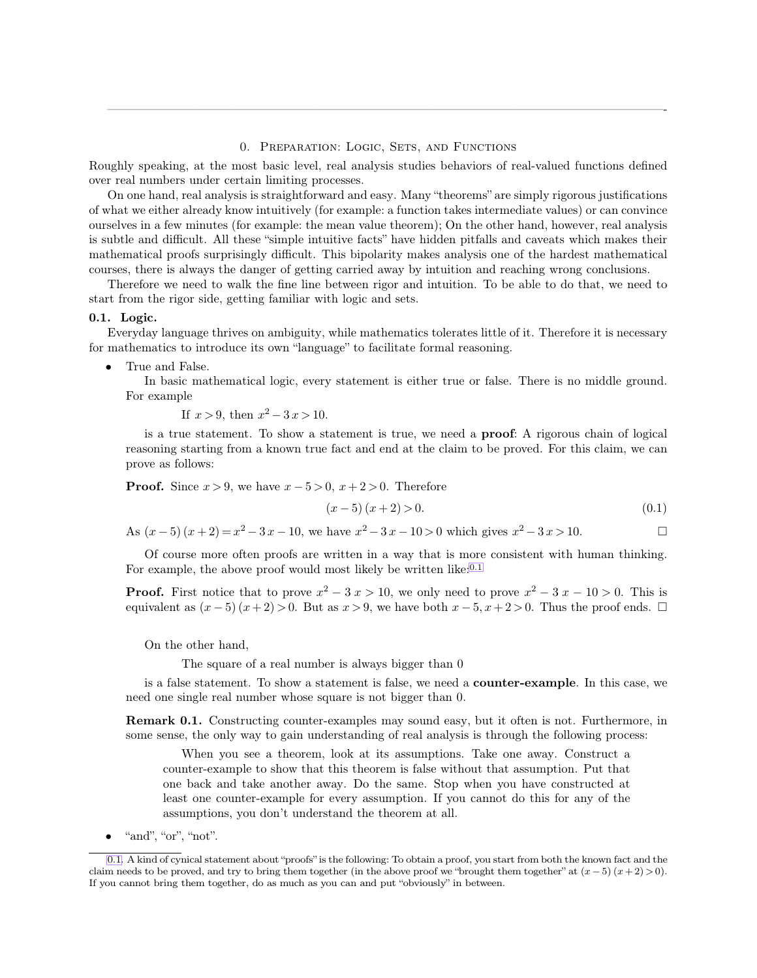## <span id="page-0-0"></span>0. Preparation: Logic, Sets, and Functions

—————————————————————————————————————————————-

Roughly speaking, at the most basic level, real analysis studies behaviors of real-valued functions defined over real numbers under certain limiting processes.

On one hand, real analysis is straightforward and easy. Many "theorems" are simply rigorous justifications of what we either already know intuitively (for example: a function takes intermediate values) or can convince ourselves in a few minutes (for example: the mean value theorem); On the other hand, however, real analysis is subtle and difficult. All these "simple intuitive facts" have hidden pitfalls and caveats which makes their mathematical proofs surprisingly difficult. This bipolarity makes analysis one of the hardest mathematical courses, there is always the danger of getting carried away by intuition and reaching wrong conclusions.

Therefore we need to walk the fine line between rigor and intuition. To be able to do that, we need to start from the rigor side, getting familiar with logic and sets.

#### **0.1. Logic.**

Everyday language thrives on ambiguity, while mathematics tolerates little of it. Therefore it is necessary for mathematics to introduce its own "language" to facilitate formal reasoning.

• True and False.

In basic mathematical logic, every statement is either true or false. There is no middle ground. For example

If 
$$
x > 9
$$
, then  $x^2 - 3x > 10$ .

is a true statement. To show a statement is true, we need a **proof**: A rigorous chain of logical reasoning starting from a known true fact and end at the claim to be proved. For this claim, we can prove as follows:

**Proof.** Since  $x > 9$ , we have  $x - 5 > 0$ ,  $x + 2 > 0$ . Therefore

$$
(x-5)(x+2) > 0.
$$
\n(0.1)

As  $(x-5)(x+2) = x^2 - 3x - 10$ , we have  $x^2 - 3x - 10 > 0$  which gives  $x^2 - 3x > 10$ .

Of course more often proofs are written in a way that is more consistent with human thinking. For example, the above proof would most likely be written like:<sup>0.1</sup>

**Proof.** First notice that to prove  $x^2 - 3x > 10$ , we only need to prove  $x^2 - 3x - 10 > 0$ . This is equivalent as  $(x-5)(x+2) > 0$ . But as  $x > 9$ , we have both  $x-5$ ,  $x+2 > 0$ . Thus the proof ends.  $\Box$ 

On the other hand,

The square of a real number is always bigger than 0

is a false statement. To show a statement is false, we need a **counter-example**. In this case, we need one single real number whose square is not bigger than 0.

**Remark 0.1.** Constructing counter-examples may sound easy, but it often is not. Furthermore, in some sense, the only way to gain understanding of real analysis is through the following process:

When you see a theorem, look at its assumptions. Take one away. Construct a counter-example to show that this theorem is false without that assumption. Put that one back and take another away. Do the same. Stop when you have constructed at least one counter-example for every assumption. If you cannot do this for any of the assumptions, you don't understand the theorem at all.

"and", "or", "not".

[<sup>0.1.</sup>](#page-0-0) A kind of cynical statement about "proofs" is the following: To obtain a proof, you start from both the known fact and the claim needs to be proved, and try to bring them together (in the above proof we "brought them together" at  $(x - 5)(x + 2) > 0$ ). If you cannot bring them together, do as much as you can and put "obviously" in between.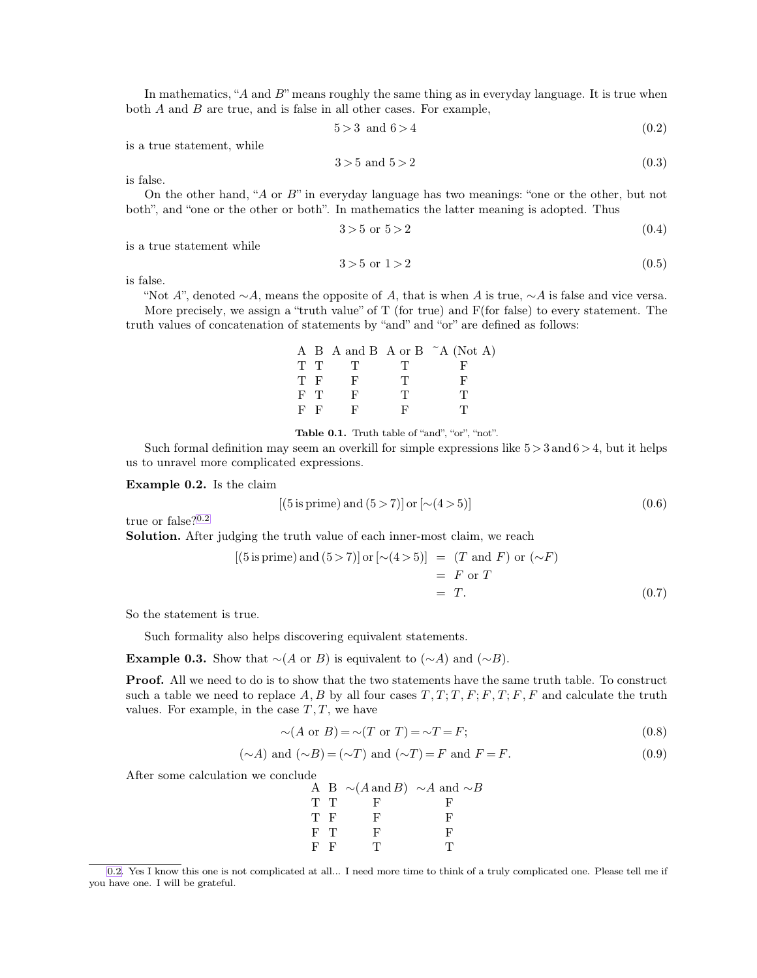In mathematics, " $A$  and  $B$ " means roughly the same thing as in everyday language. It is true when both  $A$  and  $B$  are true, and is false in all other cases. For example,

<span id="page-1-0"></span>
$$
5 > 3 \quad \text{and} \quad 6 > 4 \tag{0.2}
$$

is a true statement, while

$$
3 > 5 \text{ and } 5 > 2 \tag{0.3}
$$

is false.

On the other hand, "A or B" in everyday language has two meanings: "one or the other, but not both", and "one or the other or both". In mathematics the latter meaning is adopted. Thus

$$
3 > 5 \text{ or } 5 > 2 \tag{0.4}
$$

is a true statement while

$$
3 > 5 \text{ or } 1 > 2 \tag{0.5}
$$

is false.

"Not A", denoted  $\sim A$ , means the opposite of A, that is when A is true,  $\sim A$  is false and vice versa. More precisely, we assign a "truth value" of  $T$  (for true) and  $F$ (for false) to every statement. The truth values of concatenation of statements by "and" and "or" are defined as follows:

|       |     |    |   | A B A and B A or B $\tilde{A}$ (Not A) |
|-------|-----|----|---|----------------------------------------|
|       | T T | T  | T |                                        |
| T F   |     | F  | T |                                        |
| $F$ T |     | F  | T | T                                      |
| $F-F$ |     | ы, |   | Ч,                                     |

**Table 0.1.** Truth table of "and", "or", "not".

Such formal definition may seem an overkill for simple expressions like  $5 > 3$  and  $6 > 4$ , but it helps us to unravel more complicated expressions.

**Example 0.2.** Is the claim

$$
[(5 \text{ is prime}) \text{ and } (5 > 7)] \text{ or } [\sim (4 > 5)] \tag{0.6}
$$

true or false?0.2

**Solution.** After judging the truth value of each inner-most claim, we reach

$$
[(5 \text{ is prime}) \text{ and } (5 > 7)] \text{ or } [\sim (4 > 5)] = (T \text{ and } F) \text{ or } (\sim F)
$$

$$
= F \text{ or } T
$$

$$
= T.
$$
(0.7)

So the statement is true.

Such formality also helps discovering equivalent statements.

**Example 0.3.** Show that  $∼(A \text{ or } B)$  is equivalent to  $(∼A)$  and  $(∼B)$ .

**Proof.** All we need to do is to show that the two statements have the same truth table. To construct such a table we need to replace  $A, B$  by all four cases  $T, T, T, F, F, T; F, F$  and calculate the truth values. For example, in the case  $T, T$ , we have

$$
\sim(A \text{ or } B) = \sim(T \text{ or } T) = \sim T = F;
$$
\n(0.8)

$$
(\sim A)
$$
 and  $(\sim B) = (\sim T)$  and  $(\sim T) = F$  and  $F = F$ . (0.9)

After some calculation we conclude

|     |     | A B $\sim(A \text{ and } B)$ $\sim A$ and $\sim B$ |
|-----|-----|----------------------------------------------------|
| T T | ы,  | -F.                                                |
| T F | н,  | -le°                                               |
| F T | н,  | н,                                                 |
| E E | י ד |                                                    |

[<sup>0.2.</sup>](#page-1-0) Yes I know this one is not complicated at all... I need more time to think of a truly complicated one. Please tell me if you have one. I will be grateful.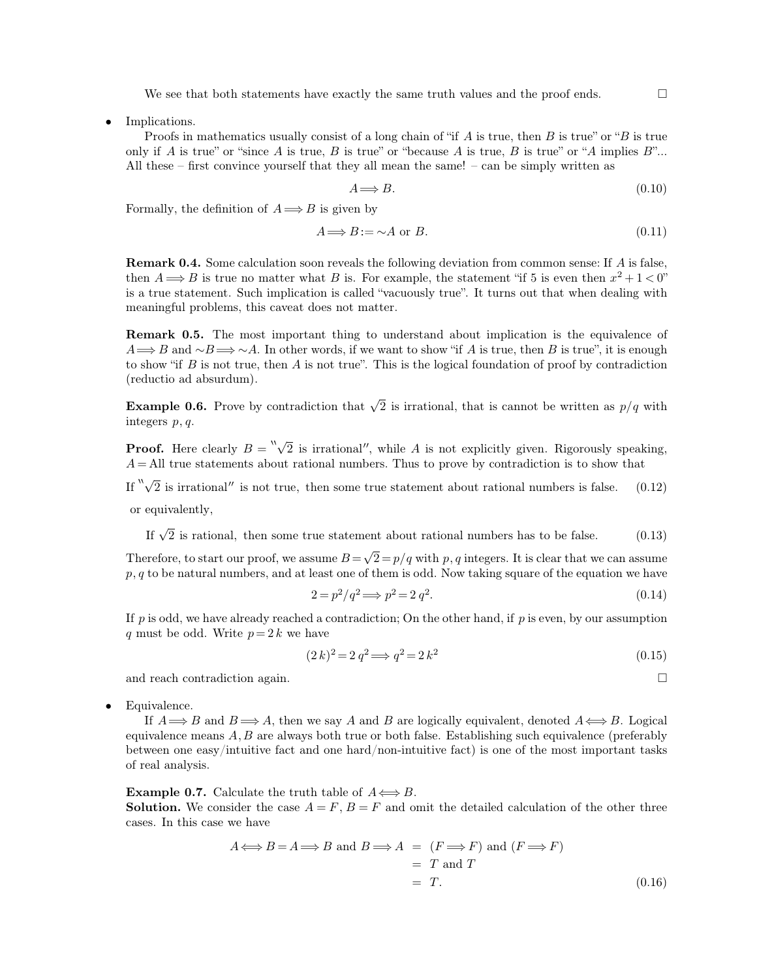We see that both statements have exactly the same truth values and the proof ends.  $\Box$ 

• Implications.

Proofs in mathematics usually consist of a long chain of "if  $A$  is true, then  $B$  is true" or " $B$  is true only if A is true" or "since A is true, B is true" or "because A is true, B is true" or "A implies  $B$ "... All these – first convince yourself that they all mean the same! – can be simply written as

$$
A \Longrightarrow B. \tag{0.10}
$$

Formally, the definition of  $A \Longrightarrow B$  is given by

$$
A \Longrightarrow B := \sim A \text{ or } B. \tag{0.11}
$$

**Remark 0.4.** Some calculation soon reveals the following deviation from common sense: If A is false, then  $A \Longrightarrow B$  is true no matter what B is. For example, the statement "if 5 is even then  $x^2 + 1 < 0$ " is a true statement. Such implication is called "vacuously true". It turns out that when dealing with meaningful problems, this caveat does not matter.

**Remark 0.5.** The most important thing to understand about implication is the equivalence of  $A \longrightarrow B$  and  $\sim B \longrightarrow \sim A$ . In other words, if we want to show "if A is true, then B is true", it is enough to show "if  $B$  is not true, then  $A$  is not true". This is the logical foundation of proof by contradiction (reductio ad absurdum).

**Example 0.6.** Prove by contradiction that  $\sqrt{2}$  is irrational, that is cannot be written as  $p/q$  with integers p, q.

**Proof.** Here clearly  $B = \sqrt[n]{2}$  is irrational'', while A is not explicitly given. Rigorously speaking,  $A =$ All true statements about rational numbers. Thus to prove by contradiction is to show that

If  $"\sqrt{2}$  is irrational'' is not true, then some true statement about rational numbers is false. (0.12)

or equivalently,

If  $\sqrt{2}$  is rational, then some true statement about rational numbers has to be false. (0.13)

Therefore, to start our proof, we assume  $B = \sqrt{2} = p/q$  with p, q integers. It is clear that we can assume  $p, q$  to be natural numbers, and at least one of them is odd. Now taking square of the equation we have

$$
2 = p^2/q^2 \Longrightarrow p^2 = 2q^2. \tag{0.14}
$$

If  $p$  is odd, we have already reached a contradiction; On the other hand, if  $p$  is even, by our assumption q must be odd. Write  $p = 2k$  we have

$$
(2 k)^2 = 2 q^2 \Longrightarrow q^2 = 2 k^2 \tag{0.15}
$$

and reach contradiction again.

• Equivalence.

If  $A \Longrightarrow B$  and  $B \Longrightarrow A$ , then we say A and B are logically equivalent, denoted  $A \Longleftrightarrow B$ . Logical equivalence means  $A, B$  are always both true or both false. Establishing such equivalence (preferably between one easy/intuitive fact and one hard/non-intuitive fact) is one of the most important tasks of real analysis.

**Example 0.7.** Calculate the truth table of  $A \leftrightarrow B$ .

**Solution.** We consider the case  $A = F$ ,  $B = F$  and omit the detailed calculation of the other three cases. In this case we have

$$
A \Longleftrightarrow B = A \Longrightarrow B \text{ and } B \Longrightarrow A = (F \Longrightarrow F) \text{ and } (F \Longrightarrow F)
$$
  
=  $T$  and  $T$   
=  $T$ . (0.16)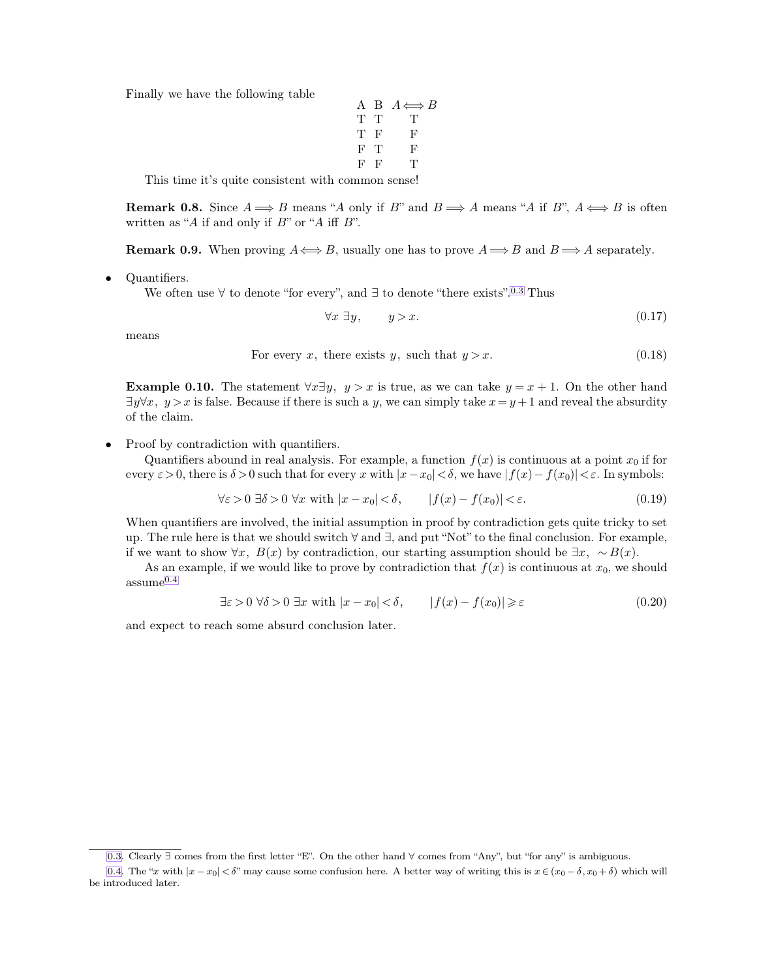Finally we have the following table

<span id="page-3-1"></span><span id="page-3-0"></span>
$$
\begin{array}{cccc}\nA & B & A \Longleftrightarrow B \\
T & T & T \\
T & F & F \\
F & T & F \\
F & F & T\n\end{array}
$$

This time it's quite consistent with common sense!

**Remark 0.8.** Since  $A \implies B$  means "A only if B" and  $B \implies A$  means "A if B",  $A \iff B$  is often written as "A if and only if  $B$ " or "A iff  $B$ ".

**Remark 0.9.** When proving  $A \leftrightarrow B$ , usually one has to prove  $A \Rightarrow B$  and  $B \Rightarrow A$  separately.

• Quantifiers.

We often use  $\forall$  to denote "for every", and  $\exists$  to denote "there exists".<sup>0.3</sup> Thus

$$
\forall x \ \exists y, \qquad y > x. \tag{0.17}
$$

means

For every x, there exists y, such that  $y > x$ . (0.18)

**Example 0.10.** The statement  $\forall x \exists y, y > x$  is true, as we can take  $y = x + 1$ . On the other hand  $\exists y \forall x, y > x$  is false. Because if there is such a y, we can simply take  $x = y + 1$  and reveal the absurdity of the claim.

• Proof by contradiction with quantifiers.

Quantifiers abound in real analysis. For example, a function  $f(x)$  is continuous at a point  $x_0$  if for every  $\varepsilon > 0$ , there is  $\delta > 0$  such that for every x with  $|x-x_0| < \delta$ , we have  $|f(x)-f(x_0)| < \varepsilon$ . In symbols:

$$
\forall \varepsilon > 0 \; \exists \delta > 0 \; \forall x \text{ with } |x - x_0| < \delta, \qquad |f(x) - f(x_0)| < \varepsilon. \tag{0.19}
$$

When quantifiers are involved, the initial assumption in proof by contradiction gets quite tricky to set up. The rule here is that we should switch ∀ and ∃, and put "Not" to the final conclusion. For example, if we want to show  $\forall x, B(x)$  by contradiction, our starting assumption should be  $\exists x, ∼B(x)$ .

As an example, if we would like to prove by contradiction that  $f(x)$  is continuous at  $x_0$ , we should assume0.4

$$
\exists \varepsilon > 0 \,\forall \delta > 0 \,\exists x \text{ with } |x - x_0| < \delta, \qquad |f(x) - f(x_0)| \geq \varepsilon \tag{0.20}
$$

and expect to reach some absurd conclusion later.

[<sup>0.3.</sup>](#page-3-0) Clearly ∃ comes from the first letter "E". On the other hand ∀ comes from "Any", but "for any" is ambiguous.

[<sup>0.4.</sup>](#page-3-1) The "x with  $|x-x_0| < \delta$ " may cause some confusion here. A better way of writing this is  $x \in (x_0 - \delta, x_0 + \delta)$  which will be introduced later.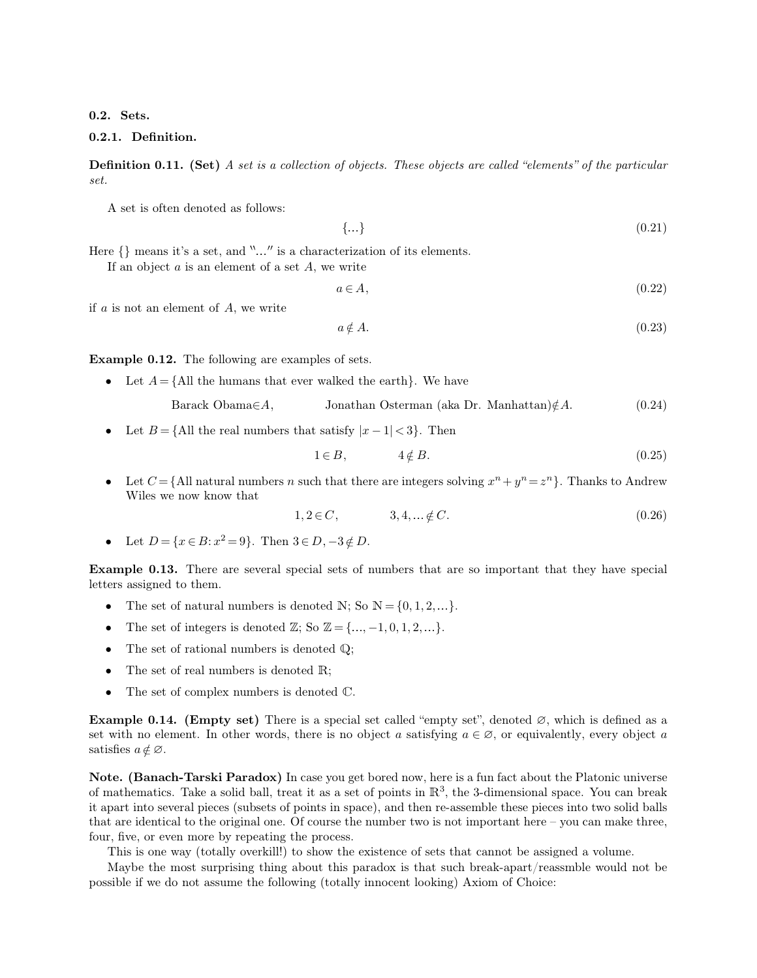**0.2. Sets.**

## **0.2.1. Definition.**

**Definition 0.11. (Set)** *A set is a collection of objects. These objects are called "elements" of the particular set.*

A set is often denoted as follows:

$$
\{\ldots\} \tag{0.21}
$$

Here  $\{\}\$  means it's a set, and " $\ldots$ " is a characterization of its elements.

If an object  $a$  is an element of a set  $A$ , we write

 $a \in A$ , (0.22)

if  $a$  is not an element of  $A$ , we write

$$
a \notin A. \tag{0.23}
$$

**Example 0.12.** The following are examples of sets.

• Let  $A = \{$ All the humans that ever walked the earth $\}$ . We have

Barack Obama∈A, Jonathan Osterman (aka Dr. Manhattan) $\notin A$ . (0.24)

• Let  $B = \{$ All the real numbers that satisfy  $|x-1| < 3$ . Then

$$
1 \in B, \qquad \qquad 4 \notin B. \tag{0.25}
$$

• Let  $C = \{$  All natural numbers n such that there are integers solving  $x^n + y^n = z^n$ . Thanks to Andrew Wiles we now know that

$$
1, 2 \in C, \qquad 3, 4, \dots \notin C. \tag{0.26}
$$

• Let  $D = \{x \in B : x^2 = 9\}$ . Then  $3 \in D, -3 \notin D$ .

**Example 0.13.** There are several special sets of numbers that are so important that they have special letters assigned to them.

- The set of natural numbers is denoted N; So  $\mathbb{N} = \{0, 1, 2, \ldots\}.$
- The set of integers is denoted  $\mathbb{Z}$ ; So  $\mathbb{Z} = \{\ldots, -1, 0, 1, 2, \ldots\}.$
- The set of rational numbers is denoted  $\mathbb{Q}$ ;
- The set of real numbers is denoted  $\mathbb{R}$ ;
- The set of complex numbers is denoted  $\mathbb{C}$ .

**Example 0.14. (Empty set)** There is a special set called "empty set", denoted ∅, which is defined as a set with no element. In other words, there is no object a satisfying  $a \in \emptyset$ , or equivalently, every object a satisfies  $a \notin \varnothing$ .

**Note. (Banach-Tarski Paradox)** In case you get bored now, here is a fun fact about the Platonic universe of mathematics. Take a solid ball, treat it as a set of points in  $\mathbb{R}^3$ , the 3-dimensional space. You can break it apart into several pieces (subsets of points in space), and then re-assemble these pieces into two solid balls that are identical to the original one. Of course the number two is not important here – you can make three, four, five, or even more by repeating the process.

This is one way (totally overkill!) to show the existence of sets that cannot be assigned a volume.

Maybe the most surprising thing about this paradox is that such break-apart/reassmble would not be possible if we do not assume the following (totally innocent looking) Axiom of Choice: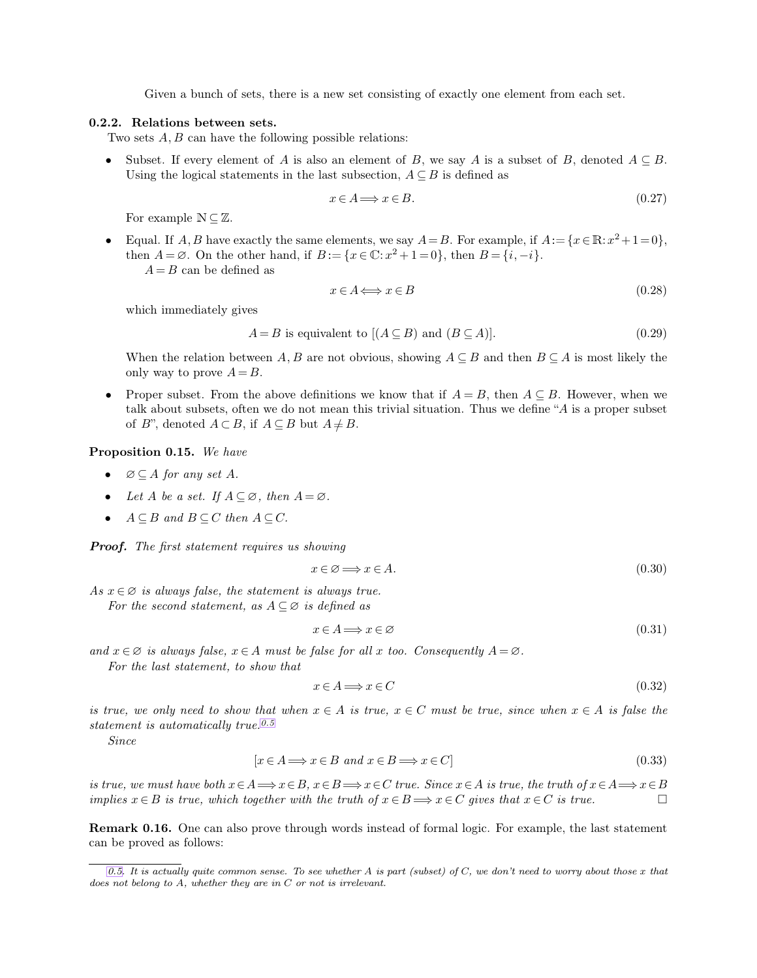<span id="page-5-0"></span>Given a bunch of sets, there is a new set consisting of exactly one element from each set.

## **0.2.2. Relations between sets.**

Two sets A, B can have the following possible relations:

• Subset. If every element of A is also an element of B, we say A is a subset of B, denoted  $A \subseteq B$ . Using the logical statements in the last subsection,  $A \subseteq B$  is defined as

$$
x \in A \Longrightarrow x \in B. \tag{0.27}
$$

For example  $\mathbb{N} \subseteq \mathbb{Z}$ .

• Equal. If  $A, B$  have exactly the same elements, we say  $A = B$ . For example, if  $A := \{x \in \mathbb{R} : x^2 + 1 = 0\},\$ then  $A = \emptyset$ . On the other hand, if  $B := \{x \in \mathbb{C} : x^2 + 1 = 0\}$ , then  $B = \{i, -i\}$ .  $A = B$  can be defined as

$$
x \in A \Longleftrightarrow x \in B \tag{0.28}
$$

which immediately gives

$$
A = B \text{ is equivalent to } [(A \subseteq B) \text{ and } (B \subseteq A)]. \tag{0.29}
$$

When the relation between A, B are not obvious, showing  $A \subseteq B$  and then  $B \subseteq A$  is most likely the only way to prove  $A = B$ .

• Proper subset. From the above definitions we know that if  $A = B$ , then  $A \subseteq B$ . However, when we talk about subsets, often we do not mean this trivial situation. Thus we define "A is a proper subset of B", denoted  $A \subset B$ , if  $A \subseteq B$  but  $A \neq B$ .

**Proposition 0.15.** *We have*

- $\varnothing \subseteq A$  *for any set*  $A$ *.*
- Let  $A$  be a set. If  $A \subseteq \emptyset$ , then  $A = \emptyset$ .
- $A \subseteq B$  *and*  $B \subseteq C$  *then*  $A \subseteq C$ *.*

*Proof. The first statement requires us showing*

$$
x \in \emptyset \Longrightarrow x \in A. \tag{0.30}
$$

*As*  $x \in \emptyset$  *is always false, the statement is always true. For the second statement, as*  $A \subseteq \emptyset$  *is defined as* 

$$
x \in A \Longrightarrow x \in \varnothing \tag{0.31}
$$

*and*  $x \in \emptyset$  *is always false,*  $x \in A$  *must be false for all* x *too. Consequently*  $A = \emptyset$ *.* 

*For the last statement, to show that*

$$
x \in A \Longrightarrow x \in C \tag{0.32}
$$

*is true, we only need to show that when*  $x \in A$  *is true,*  $x \in C$  *must be true, since when*  $x \in A$  *is false the statement is automatically true.0.5*

*Since*

$$
[x \in A \Longrightarrow x \in B \text{ and } x \in B \Longrightarrow x \in C]
$$
\n
$$
(0.33)
$$

*is true, we must have both*  $x \in A \implies x \in B$ ,  $x \in B \implies x \in C$  *true. Since*  $x \in A$  *is true, the truth of*  $x \in A \implies x \in B$ <br>*implies*  $x \in B$  *is true, which together with the truth of*  $x \in B \implies x \in C$  *gives that*  $x \in C$  *is true implies*  $x \in B$  *is true, which together with the truth of*  $x \in B \implies x \in C$  *gives that*  $x \in C$  *is true.* 

**Remark 0.16.** One can also prove through words instead of formal logic. For example, the last statement can be proved as follows:

*[<sup>0.5.</sup>](#page-5-0) It is actually quite common sense. To see whether* A *is part (subset) of* C*, we don't need to worry about those* x *that does not belong to* A*, whether they are in* C *or not is irrelevant.*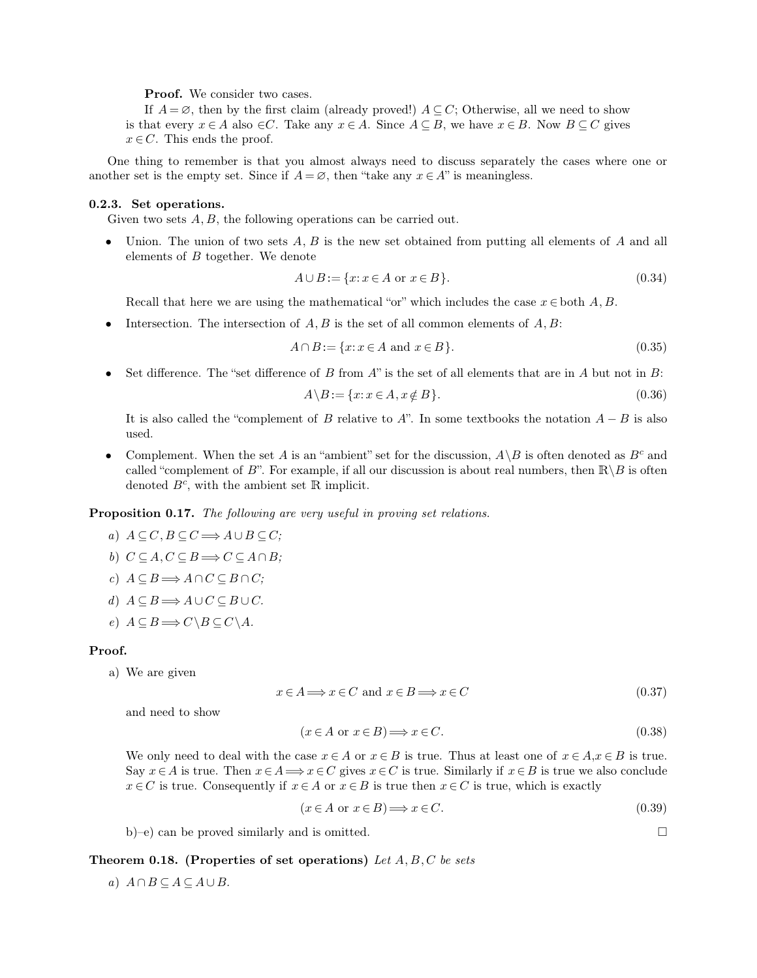<span id="page-6-0"></span>**Proof.** We consider two cases.

If  $A = \emptyset$ , then by the first claim (already proved!)  $A \subseteq C$ ; Otherwise, all we need to show is that every  $x \in A$  also  $\in C$ . Take any  $x \in A$ . Since  $A \subseteq B$ , we have  $x \in B$ . Now  $B \subseteq C$  gives  $x \in C$ . This ends the proof.

One thing to remember is that you almost always need to discuss separately the cases where one or another set is the empty set. Since if  $A = \emptyset$ , then "take any  $x \in A$ " is meaningless.

#### **0.2.3. Set operations.**

Given two sets A, B, the following operations can be carried out.

• Union. The union of two sets  $A, B$  is the new set obtained from putting all elements of  $A$  and all elements of  $B$  together. We denote

$$
A \cup B := \{x \colon x \in A \text{ or } x \in B\}.
$$
\n
$$
(0.34)
$$

Recall that here we are using the mathematical "or" which includes the case  $x \in$  both A, B.

Intersection. The intersection of  $A, B$  is the set of all common elements of  $A, B$ :

$$
A \cap B := \{x \colon x \in A \text{ and } x \in B\}.\tag{0.35}
$$

Set difference. The "set difference of B from A" is the set of all elements that are in A but not in B:

$$
A \backslash B := \{x \colon x \in A, x \notin B\}.
$$
\n
$$
(0.36)
$$

It is also called the "complement of B relative to A". In some textbooks the notation  $A - B$  is also used.

Complement. When the set A is an "ambient" set for the discussion,  $A \ B$  is often denoted as  $B<sup>c</sup>$  and called "complement of B". For example, if all our discussion is about real numbers, then  $\mathbb{R} \backslash B$  is often denoted  $B^c$ , with the ambient set R implicit.

**Proposition 0.17.** *The following are very useful in proving set relations.*

- *a*)  $A \subseteq C$ ,  $B \subseteq C$   $\Longrightarrow$   $A \cup B \subseteq C$ ;
- *b*)  $C \subseteq A, C \subseteq B \Longrightarrow C \subseteq A \cap B;$
- *c*)  $A \subseteq B$   $\Longrightarrow$   $A \cap C \subseteq B \cap C$ ;
- *d*)  $A \subseteq B$   $\Longrightarrow$   $A \cup C \subseteq B \cup C$ *.*
- *e*)  $A \subseteq B \Longrightarrow C \setminus B \subseteq C \setminus A$ .

#### **Proof.**

a) We are given

$$
x \in A \Longrightarrow x \in C \text{ and } x \in B \Longrightarrow x \in C \tag{0.37}
$$

and need to show

$$
(x \in A \text{ or } x \in B) \Longrightarrow x \in C. \tag{0.38}
$$

We only need to deal with the case  $x \in A$  or  $x \in B$  is true. Thus at least one of  $x \in A$ ,  $x \in B$  is true. Say  $x \in A$  is true. Then  $x \in A \Longrightarrow x \in C$  gives  $x \in C$  is true. Similarly if  $x \in B$  is true we also conclude  $x \in C$  is true. Consequently if  $x \in A$  or  $x \in B$  is true then  $x \in C$  is true, which is exactly

$$
(x \in A \text{ or } x \in B) \Longrightarrow x \in C. \tag{0.39}
$$

b)–e) can be proved similarly and is omitted.

#### **Theorem 0.18. (Properties of set operations)** *Let* A, B, C *be sets*

*a*)  $A ∩ B ⊆ A ⊆ A ∪ B$ .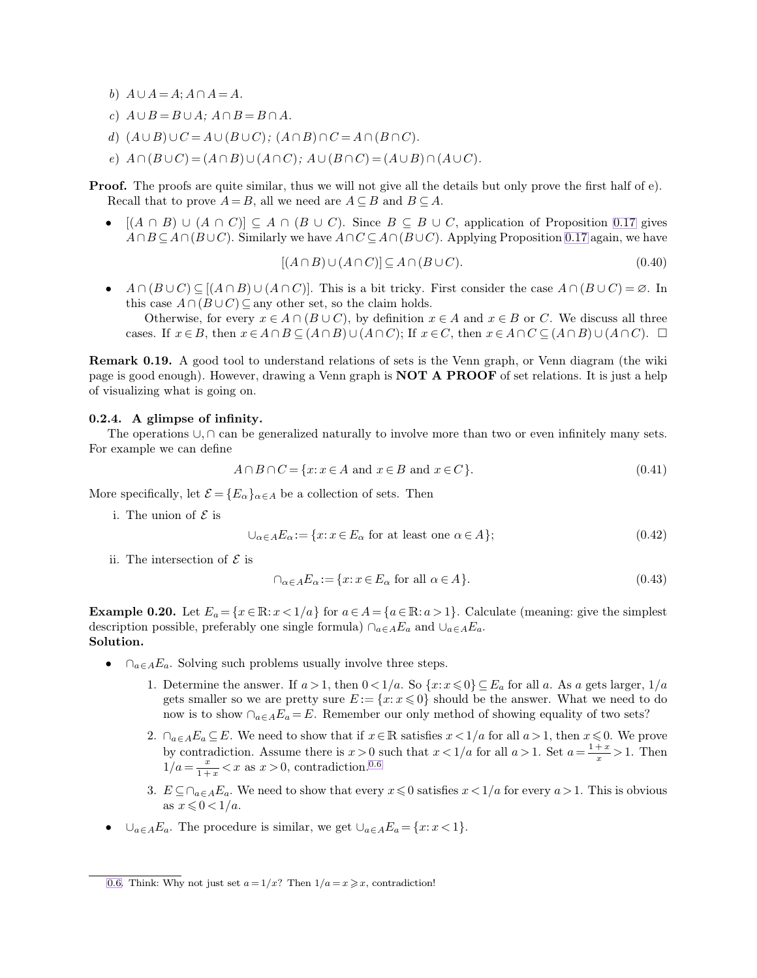- <span id="page-7-0"></span>*b*)  $A \cup A = A$ ;  $A \cap A = A$ .
- *c*)  $A \cup B = B \cup A$ ;  $A \cap B = B \cap A$ .
- *d*)  $(A \cup B) \cup C = A \cup (B \cup C)$ ;  $(A \cap B) \cap C = A \cap (B \cap C)$ *.*
- $e)$   $A \cap (B \cup C) = (A \cap B) \cup (A \cap C);$   $A \cup (B \cap C) = (A \cup B) \cap (A \cup C).$

**Proof.** The proofs are quite similar, thus we will not give all the details but only prove the first half of e). Recall that to prove  $A = B$ , all we need are  $A \subseteq B$  and  $B \subseteq A$ .

•  $[(A \cap B) \cup (A \cap C)] \subseteq A \cap (B \cup C)$ . Since  $B \subseteq B \cup C$ , application of Proposition [0.17](#page-6-0) gives  $A \cap B \subseteq A \cap (B \cup C)$ . Similarly we have  $A \cap C \subseteq A \cap (B \cup C)$ . Applying Proposition [0.17](#page-6-0) again, we have

$$
[(A \cap B) \cup (A \cap C)] \subseteq A \cap (B \cup C). \tag{0.40}
$$

•  $A \cap (B \cup C) \subseteq [(A \cap B) \cup (A \cap C)]$ . This is a bit tricky. First consider the case  $A \cap (B \cup C) = \emptyset$ . In this case  $A \cap (B \cup C) \subseteq$  any other set, so the claim holds.

Otherwise, for every  $x \in A \cap (B \cup C)$ , by definition  $x \in A$  and  $x \in B$  or C. We discuss all three cases. If  $x \in B$ , then  $x \in A \cap B \subseteq (A \cap B) \cup (A \cap C)$ ; If  $x \in C$ , then  $x \in A \cap C \subseteq (A \cap B) \cup (A \cap C)$ .  $\Box$ 

**Remark 0.19.** A good tool to understand relations of sets is the Venn graph, or Venn diagram (the wiki page is good enough). However, drawing a Venn graph is **NOT A PROOF** of set relations. It is just a help of visualizing what is going on.

#### **0.2.4. A glimpse of infinity.**

The operations ∪, ∩ can be generalized naturally to involve more than two or even infinitely many sets. For example we can define

$$
A \cap B \cap C = \{x \colon x \in A \text{ and } x \in B \text{ and } x \in C\}.\tag{0.41}
$$

More specifically, let  $\mathcal{E} = \{E_{\alpha}\}_{{\alpha \in A}}$  be a collection of sets. Then

i. The union of  $\mathcal E$  is

$$
\bigcup_{\alpha \in A} E_{\alpha} := \{ x \colon x \in E_{\alpha} \text{ for at least one } \alpha \in A \};\tag{0.42}
$$

ii. The intersection of  $\mathcal E$  is

$$
\cap_{\alpha \in A} E_{\alpha} := \{ x \colon x \in E_{\alpha} \text{ for all } \alpha \in A \}. \tag{0.43}
$$

**Example 0.20.** Let  $E_a = \{x \in \mathbb{R} : x < 1/a\}$  for  $a \in A = \{a \in \mathbb{R} : a > 1\}$ . Calculate (meaning: give the simplest description possible, preferably one single formula)  $\cap_{a \in A} E_a$  and  $\cup_{a \in A} E_a$ . **Solution.**

- $\cap_{a \in A} E_a$ . Solving such problems usually involve three steps.
	- 1. Determine the answer. If  $a > 1$ , then  $0 < 1/a$ . So  $\{x : x \le 0\} \subseteq E_a$  for all a. As a gets larger,  $1/a$ gets smaller so we are pretty sure  $E := \{x: x \leq 0\}$  should be the answer. What we need to do now is to show  $\cap_{a\in A}E_a=E$ . Remember our only method of showing equality of two sets?
	- 2.  $\cap_{a\in A}E_a\subseteq E$ . We need to show that if  $x\in \mathbb{R}$  satisfies  $x<1/a$  for all  $a>1$ , then  $x\leq 0$ . We prove by contradiction. Assume there is  $x > 0$  such that  $x < 1/a$  for all  $a > 1$ . Set  $a = \frac{1+x}{a}$ radiction. Assume there is  $x > 0$  such that  $x < 1/a$  for all  $a > 1$ . Set  $a = \frac{1+x}{x} > 1$ . Then  $1/a = \frac{x}{1+x} < x$  as  $x > 0$ , contradiction.<sup>0.6</sup>
	- 3.  $E \subseteq \bigcap_{a \in A} E_a$ . We need to show that every  $x \leq 0$  satisfies  $x \leq 1/a$  for every  $a > 1$ . This is obvious as  $x \leqslant 0 < 1/a$ .
- ∪<sub>a∈A</sub>E<sub>a</sub>. The procedure is similar, we get  $\cup_{a \in A} E_a = \{x : x < 1\}.$

[<sup>0.6.</sup>](#page-7-0) Think: Why not just set  $a = 1/x$ ? Then  $1/a = x \geq x$ , contradiction!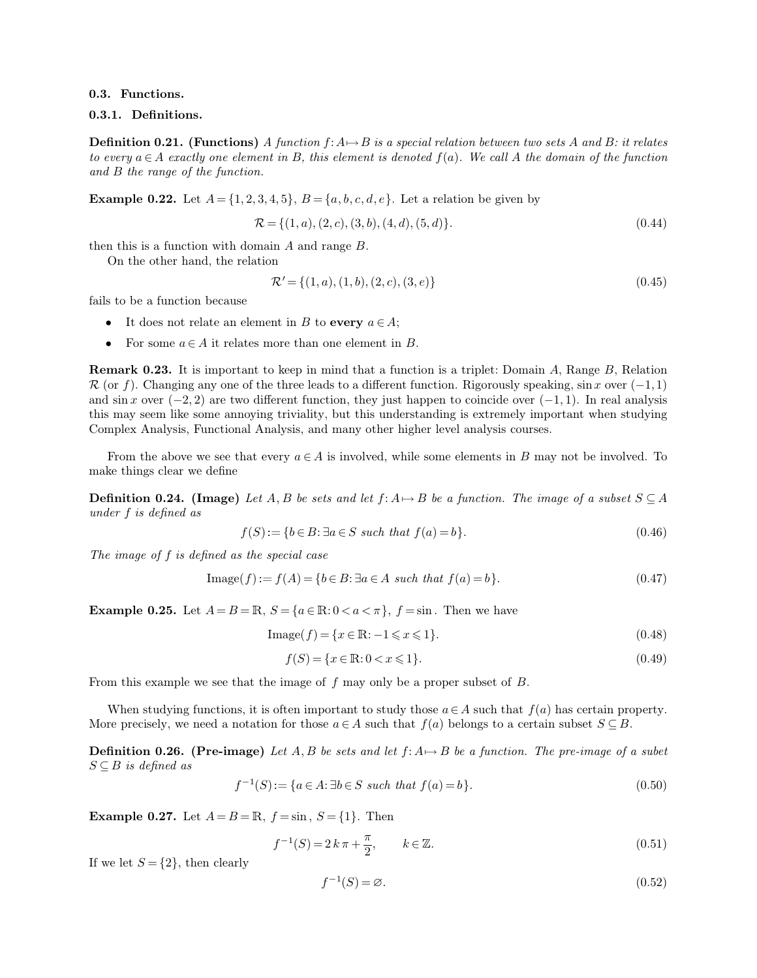#### **0.3. Functions.**

## **0.3.1. Definitions.**

**Definition 0.21.** (Functions) A function  $f: A \mapsto B$  is a special relation between two sets A and B: it relates *to every*  $a \in A$  *exactly one element in* B, this element is denoted  $f(a)$ . We call A the domain of the function *and* B *the range of the function.*

**Example 0.22.** Let  $A = \{1, 2, 3, 4, 5\}$ ,  $B = \{a, b, c, d, e\}$ . Let a relation be given by

$$
\mathcal{R} = \{ (1, a), (2, c), (3, b), (4, d), (5, d) \}.
$$
\n(0.44)

then this is a function with domain A and range B.

On the other hand, the relation

$$
\mathcal{R}' = \{(1, a), (1, b), (2, c), (3, e)\}\tag{0.45}
$$

fails to be a function because

- It does not relate an element in B to **every**  $a \in A$ ;
- For some  $a \in A$  it relates more than one element in B.

**Remark 0.23.** It is important to keep in mind that a function is a triplet: Domain A, Range B, Relation  $\mathcal R$  (or f). Changing any one of the three leads to a different function. Rigorously speaking, sin x over  $(-1,1)$ and sin x over  $(-2, 2)$  are two different function, they just happen to coincide over  $(-1, 1)$ . In real analysis this may seem like some annoying triviality, but this understanding is extremely important when studying Complex Analysis, Functional Analysis, and many other higher level analysis courses.

From the above we see that every  $a \in A$  is involved, while some elements in B may not be involved. To make things clear we define

**Definition 0.24.** (Image) Let A, B be sets and let  $f: A \mapsto B$  be a function. The image of a subset  $S \subseteq A$ *under* f *is defined as*

$$
f(S) := \{b \in B : \exists a \in S \text{ such that } f(a) = b\}. \tag{0.46}
$$

*The image of* f *is defined as the special case*

$$
Image(f) := f(A) = \{b \in B : \exists a \in A \text{ such that } f(a) = b\}. \tag{0.47}
$$

**Example 0.25.** Let  $A = B = \mathbb{R}$ ,  $S = \{a \in \mathbb{R} : 0 < a < \pi\}$ ,  $f = \sin$ . Then we have

$$
Image(f) = \{x \in \mathbb{R} : -1 \le x \le 1\}.
$$
\n(0.48)

$$
f(S) = \{x \in \mathbb{R} : 0 < x \leq 1\}.\tag{0.49}
$$

From this example we see that the image of f may only be a proper subset of B.

When studying functions, it is often important to study those  $a \in A$  such that  $f(a)$  has certain property. More precisely, we need a notation for those  $a \in A$  such that  $f(a)$  belongs to a certain subset  $S \subseteq B$ .

**Definition 0.26. (Pre-image)** Let  $A, B$  be sets and let  $f: A \mapsto B$  be a function. The pre-image of a subet  $S \subseteq B$  *is defined as* 

$$
f^{-1}(S) := \{ a \in A : \exists b \in S \text{ such that } f(a) = b \}. \tag{0.50}
$$

**Example 0.27.** Let  $A = B = \mathbb{R}$ ,  $f = \sin s$ ,  $S = \{1\}$ . Then

$$
f^{-1}(S) = 2 k \pi + \frac{\pi}{2}, \qquad k \in \mathbb{Z}.
$$
 (0.51)

If we let  $S = \{2\}$ , then clearly

$$
f^{-1}(S) = \varnothing. \tag{0.52}
$$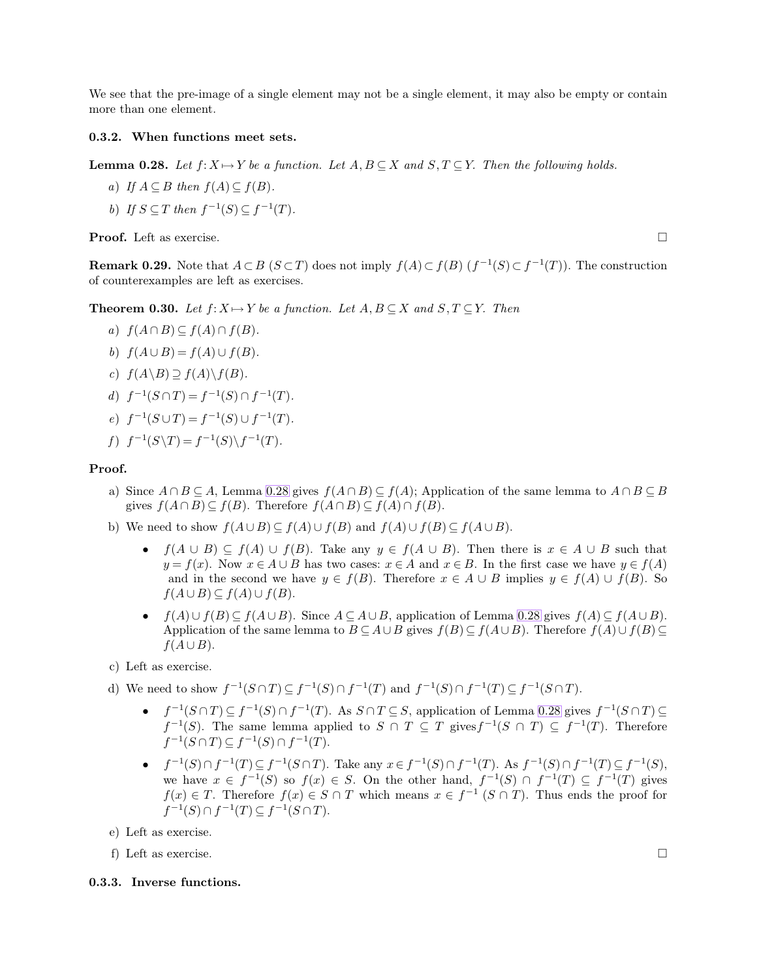We see that the pre-image of a single element may not be a single element, it may also be empty or contain more than one element.

## **0.3.2. When functions meet sets.**

**Lemma 0.28.** Let  $f: X \mapsto Y$  be a function. Let  $A, B \subseteq X$  and  $S, T \subseteq Y$ . Then the following holds.

- *a*) *If*  $A \subseteq B$  *then*  $f(A) \subseteq f(B)$ *.*
- b) If  $S \subseteq T$  then  $f^{-1}(S) \subseteq f^{-1}(T)$ *.*

**Proof.** Left as exercise. □

**Remark 0.29.** Note that  $A \subset B$  ( $S \subset T$ ) does not imply  $f(A) \subset f(B)$  ( $f^{-1}(S) \subset f^{-1}(T)$ ). The construction of counterexamples are left as exercises.

**Theorem 0.30.** Let  $f: X \mapsto Y$  be a function. Let  $A, B \subseteq X$  and  $S, T \subseteq Y$ . Then

- *a*)  $f(A \cap B) \subseteq f(A) \cap f(B)$ .
- *b*)  $f(A \cup B) = f(A) \cup f(B)$ .
- *c*)  $f(A\B) \supseteq f(A)\Bigr\setminus f(B)$ *.*
- *d*)  $f^{-1}(S \cap T) = f^{-1}(S) \cap f^{-1}(T)$ *.*
- *e*)  $f^{-1}(S \cup T) = f^{-1}(S) \cup f^{-1}(T)$ *.*

$$
f) f^{-1}(S\backslash T) = f^{-1}(S)\backslash f^{-1}(T).
$$

# **Proof.**

- a) Since  $A \cap B \subseteq A$ , Lemma [0.28](#page-9-0) gives  $f(A \cap B) \subseteq f(A)$ ; Application of the same lemma to  $A \cap B \subseteq B$ gives  $f(A \cap B) \subseteq f(B)$ . Therefore  $f(A \cap B) \subseteq f(A) \cap f(B)$ .
- b) We need to show  $f(A \cup B) \subseteq f(A) \cup f(B)$  and  $f(A) \cup f(B) \subseteq f(A \cup B)$ .
	- $f(A \cup B) \subseteq f(A) \cup f(B)$ . Take any  $y \in f(A \cup B)$ . Then there is  $x \in A \cup B$  such that  $y = f(x)$ . Now  $x \in A \cup B$  has two cases:  $x \in A$  and  $x \in B$ . In the first case we have  $y \in f(A)$ and in the second we have  $y \in f(B)$ . Therefore  $x \in A \cup B$  implies  $y \in f(A) \cup f(B)$ . So  $f(A \cup B) \subseteq f(A) \cup f(B).$
	- $f(A) \cup f(B) \subset f(A \cup B)$ . Since  $A \subset A \cup B$ , application of Lemma [0.28](#page-9-0) gives  $f(A) \subset f(A \cup B)$ . Application of the same lemma to  $B \subseteq A \cup B$  gives  $f(B) \subseteq f(A \cup B)$ . Therefore  $f(A) \cup f(B) \subseteq$  $f(A\cup B)$ .
- c) Left as exercise.
- d) We need to show  $f^{-1}(S \cap T) \subseteq f^{-1}(S) \cap f^{-1}(T)$  and  $f^{-1}(S) \cap f^{-1}(T) \subseteq f^{-1}(S \cap T)$ .
	- $f^{-1}(S \cap T) \subseteq f^{-1}(S) \cap f^{-1}(T)$ . As  $S \cap T \subseteq S$ , application of Lemma [0.28](#page-9-0) gives  $f^{-1}(S \cap T) \subseteq$  $f^{-1}(S)$ . The same lemma applied to  $S \cap T \subseteq T$  gives  $f^{-1}(S \cap T) \subseteq f^{-1}(T)$ . Therefore  $f^{-1}(S \cap T) \subseteq f^{-1}(S) \cap f^{-1}(T)$ .
	- $f^{-1}(S) \cap f^{-1}(T) \subseteq f^{-1}(S \cap T)$ . Take any  $x \in f^{-1}(S) \cap f^{-1}(T)$ . As  $f^{-1}(S) \cap f^{-1}(T) \subseteq f^{-1}(S)$ , we have  $x \in f^{-1}(S)$  so  $f(x) \in S$ . On the other hand,  $f^{-1}(S) \cap f^{-1}(T) \subseteq f^{-1}(T)$  gives  $f(x) \in T$ . Therefore  $f(x) \in S \cap T$  which means  $x \in f^{-1} (S \cap T)$ . Thus ends the proof for  $f^{-1}(S) \cap f^{-1}(T) \subseteq f^{-1}(S \cap T).$
- e) Left as exercise.
- f) Left as exercise.

## **0.3.3. Inverse functions.**

<span id="page-9-0"></span>